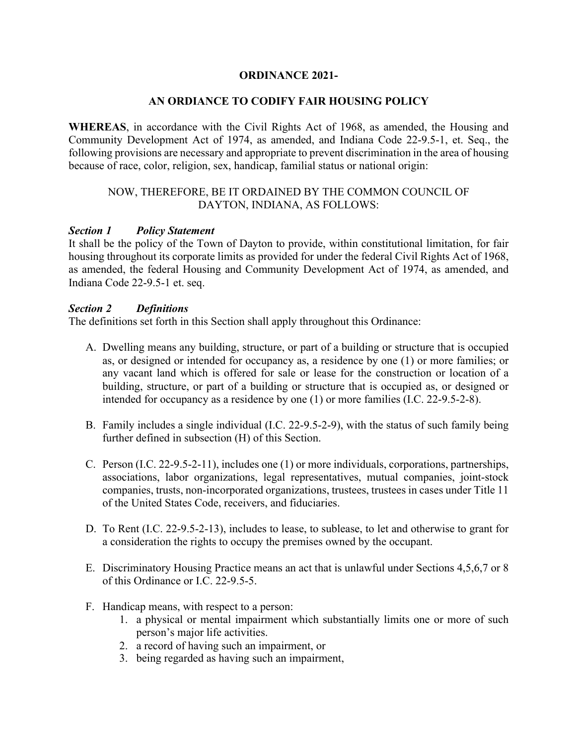## **ORDINANCE 2021-**

## **AN ORDIANCE TO CODIFY FAIR HOUSING POLICY**

**WHEREAS**, in accordance with the Civil Rights Act of 1968, as amended, the Housing and Community Development Act of 1974, as amended, and Indiana Code 22-9.5-1, et. Seq., the following provisions are necessary and appropriate to prevent discrimination in the area of housing because of race, color, religion, sex, handicap, familial status or national origin:

## NOW, THEREFORE, BE IT ORDAINED BY THE COMMON COUNCIL OF DAYTON, INDIANA, AS FOLLOWS:

#### *Section 1 Policy Statement*

It shall be the policy of the Town of Dayton to provide, within constitutional limitation, for fair housing throughout its corporate limits as provided for under the federal Civil Rights Act of 1968, as amended, the federal Housing and Community Development Act of 1974, as amended, and Indiana Code 22-9.5-1 et. seq.

#### *Section 2 Definitions*

The definitions set forth in this Section shall apply throughout this Ordinance:

- A. Dwelling means any building, structure, or part of a building or structure that is occupied as, or designed or intended for occupancy as, a residence by one (1) or more families; or any vacant land which is offered for sale or lease for the construction or location of a building, structure, or part of a building or structure that is occupied as, or designed or intended for occupancy as a residence by one (1) or more families (I.C. 22-9.5-2-8).
- B. Family includes a single individual (I.C. 22-9.5-2-9), with the status of such family being further defined in subsection (H) of this Section.
- C. Person (I.C. 22-9.5-2-11), includes one (1) or more individuals, corporations, partnerships, associations, labor organizations, legal representatives, mutual companies, joint-stock companies, trusts, non-incorporated organizations, trustees, trustees in cases under Title 11 of the United States Code, receivers, and fiduciaries.
- D. To Rent (I.C. 22-9.5-2-13), includes to lease, to sublease, to let and otherwise to grant for a consideration the rights to occupy the premises owned by the occupant.
- E. Discriminatory Housing Practice means an act that is unlawful under Sections 4,5,6,7 or 8 of this Ordinance or I.C. 22-9.5-5.
- F. Handicap means, with respect to a person:
	- 1. a physical or mental impairment which substantially limits one or more of such person's major life activities.
	- 2. a record of having such an impairment, or
	- 3. being regarded as having such an impairment,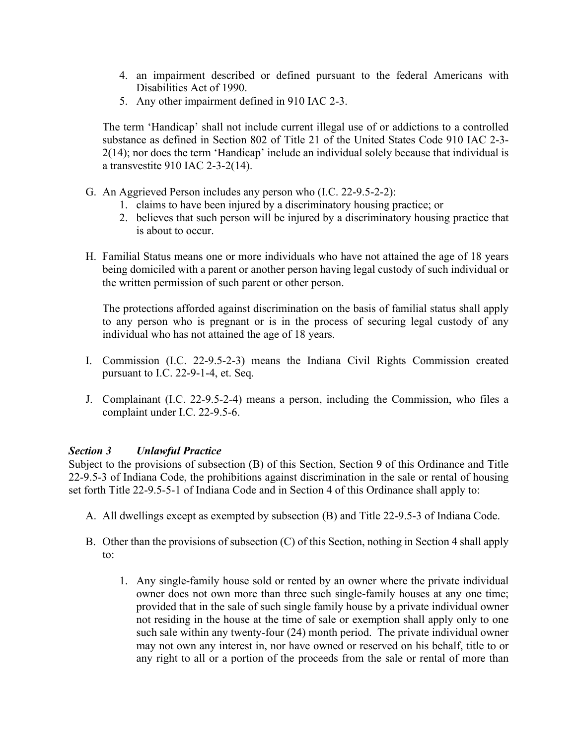- 4. an impairment described or defined pursuant to the federal Americans with Disabilities Act of 1990.
- 5. Any other impairment defined in 910 IAC 2-3.

The term 'Handicap' shall not include current illegal use of or addictions to a controlled substance as defined in Section 802 of Title 21 of the United States Code 910 IAC 2-3- 2(14); nor does the term 'Handicap' include an individual solely because that individual is a transvestite 910 IAC 2-3-2(14).

- G. An Aggrieved Person includes any person who (I.C. 22-9.5-2-2):
	- 1. claims to have been injured by a discriminatory housing practice; or
	- 2. believes that such person will be injured by a discriminatory housing practice that is about to occur.
- H. Familial Status means one or more individuals who have not attained the age of 18 years being domiciled with a parent or another person having legal custody of such individual or the written permission of such parent or other person.

The protections afforded against discrimination on the basis of familial status shall apply to any person who is pregnant or is in the process of securing legal custody of any individual who has not attained the age of 18 years.

- I. Commission (I.C. 22-9.5-2-3) means the Indiana Civil Rights Commission created pursuant to I.C. 22-9-1-4, et. Seq.
- J. Complainant (I.C. 22-9.5-2-4) means a person, including the Commission, who files a complaint under I.C. 22-9.5-6.

# *Section 3 Unlawful Practice*

Subject to the provisions of subsection (B) of this Section, Section 9 of this Ordinance and Title 22-9.5-3 of Indiana Code, the prohibitions against discrimination in the sale or rental of housing set forth Title 22-9.5-5-1 of Indiana Code and in Section 4 of this Ordinance shall apply to:

- A. All dwellings except as exempted by subsection (B) and Title 22-9.5-3 of Indiana Code.
- B. Other than the provisions of subsection (C) of this Section, nothing in Section 4 shall apply to:
	- 1. Any single-family house sold or rented by an owner where the private individual owner does not own more than three such single-family houses at any one time; provided that in the sale of such single family house by a private individual owner not residing in the house at the time of sale or exemption shall apply only to one such sale within any twenty-four (24) month period. The private individual owner may not own any interest in, nor have owned or reserved on his behalf, title to or any right to all or a portion of the proceeds from the sale or rental of more than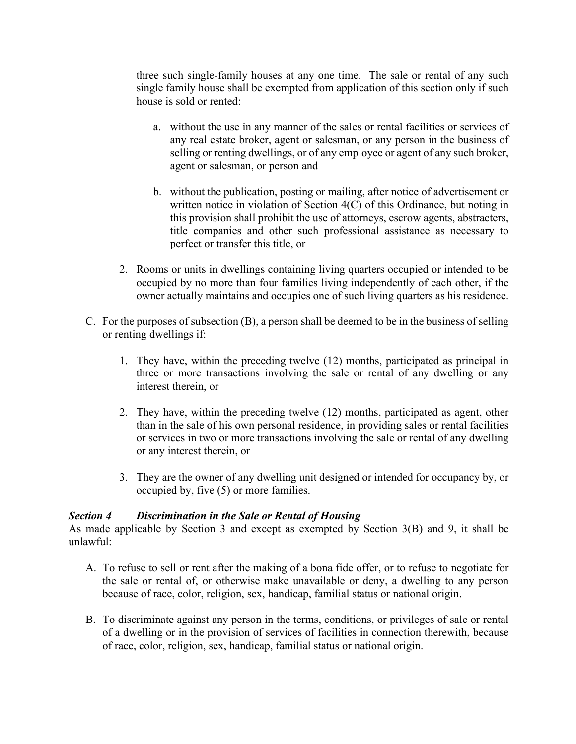three such single-family houses at any one time. The sale or rental of any such single family house shall be exempted from application of this section only if such house is sold or rented:

- a. without the use in any manner of the sales or rental facilities or services of any real estate broker, agent or salesman, or any person in the business of selling or renting dwellings, or of any employee or agent of any such broker, agent or salesman, or person and
- b. without the publication, posting or mailing, after notice of advertisement or written notice in violation of Section 4(C) of this Ordinance, but noting in this provision shall prohibit the use of attorneys, escrow agents, abstracters, title companies and other such professional assistance as necessary to perfect or transfer this title, or
- 2. Rooms or units in dwellings containing living quarters occupied or intended to be occupied by no more than four families living independently of each other, if the owner actually maintains and occupies one of such living quarters as his residence.
- C. For the purposes of subsection (B), a person shall be deemed to be in the business of selling or renting dwellings if:
	- 1. They have, within the preceding twelve (12) months, participated as principal in three or more transactions involving the sale or rental of any dwelling or any interest therein, or
	- 2. They have, within the preceding twelve (12) months, participated as agent, other than in the sale of his own personal residence, in providing sales or rental facilities or services in two or more transactions involving the sale or rental of any dwelling or any interest therein, or
	- 3. They are the owner of any dwelling unit designed or intended for occupancy by, or occupied by, five (5) or more families.

# *Section 4 Discrimination in the Sale or Rental of Housing*

As made applicable by Section 3 and except as exempted by Section 3(B) and 9, it shall be unlawful:

- A. To refuse to sell or rent after the making of a bona fide offer, or to refuse to negotiate for the sale or rental of, or otherwise make unavailable or deny, a dwelling to any person because of race, color, religion, sex, handicap, familial status or national origin.
- B. To discriminate against any person in the terms, conditions, or privileges of sale or rental of a dwelling or in the provision of services of facilities in connection therewith, because of race, color, religion, sex, handicap, familial status or national origin.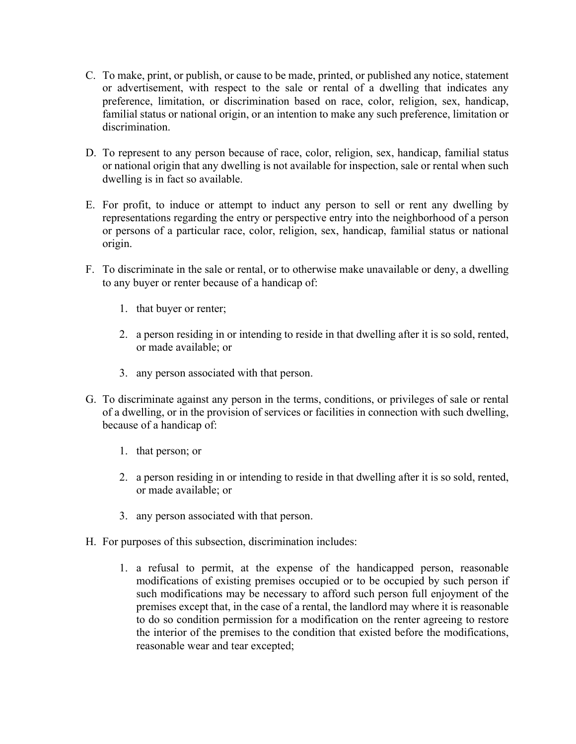- C. To make, print, or publish, or cause to be made, printed, or published any notice, statement or advertisement, with respect to the sale or rental of a dwelling that indicates any preference, limitation, or discrimination based on race, color, religion, sex, handicap, familial status or national origin, or an intention to make any such preference, limitation or discrimination.
- D. To represent to any person because of race, color, religion, sex, handicap, familial status or national origin that any dwelling is not available for inspection, sale or rental when such dwelling is in fact so available.
- E. For profit, to induce or attempt to induct any person to sell or rent any dwelling by representations regarding the entry or perspective entry into the neighborhood of a person or persons of a particular race, color, religion, sex, handicap, familial status or national origin.
- F. To discriminate in the sale or rental, or to otherwise make unavailable or deny, a dwelling to any buyer or renter because of a handicap of:
	- 1. that buyer or renter;
	- 2. a person residing in or intending to reside in that dwelling after it is so sold, rented, or made available; or
	- 3. any person associated with that person.
- G. To discriminate against any person in the terms, conditions, or privileges of sale or rental of a dwelling, or in the provision of services or facilities in connection with such dwelling, because of a handicap of:
	- 1. that person; or
	- 2. a person residing in or intending to reside in that dwelling after it is so sold, rented, or made available; or
	- 3. any person associated with that person.
- H. For purposes of this subsection, discrimination includes:
	- 1. a refusal to permit, at the expense of the handicapped person, reasonable modifications of existing premises occupied or to be occupied by such person if such modifications may be necessary to afford such person full enjoyment of the premises except that, in the case of a rental, the landlord may where it is reasonable to do so condition permission for a modification on the renter agreeing to restore the interior of the premises to the condition that existed before the modifications, reasonable wear and tear excepted;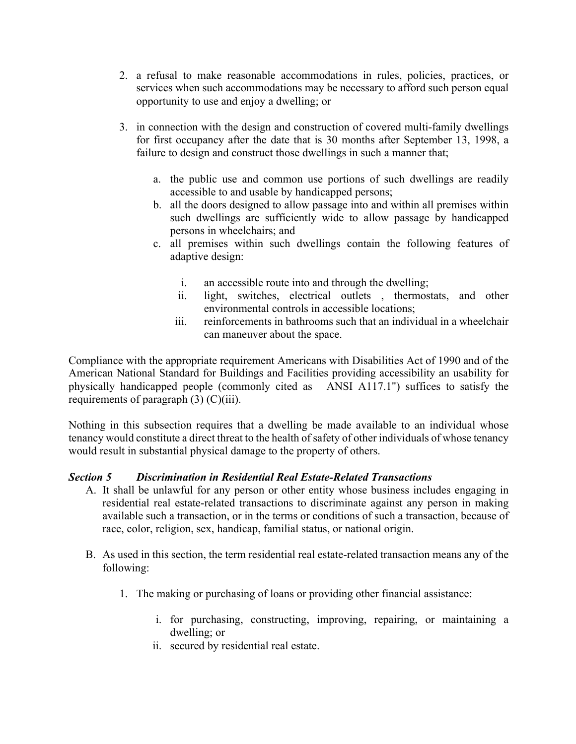- 2. a refusal to make reasonable accommodations in rules, policies, practices, or services when such accommodations may be necessary to afford such person equal opportunity to use and enjoy a dwelling; or
- 3. in connection with the design and construction of covered multi-family dwellings for first occupancy after the date that is 30 months after September 13, 1998, a failure to design and construct those dwellings in such a manner that;
	- a. the public use and common use portions of such dwellings are readily accessible to and usable by handicapped persons;
	- b. all the doors designed to allow passage into and within all premises within such dwellings are sufficiently wide to allow passage by handicapped persons in wheelchairs; and
	- c. all premises within such dwellings contain the following features of adaptive design:
		- i. an accessible route into and through the dwelling;
		- ii. light, switches, electrical outlets , thermostats, and other environmental controls in accessible locations;
		- iii. reinforcements in bathrooms such that an individual in a wheelchair can maneuver about the space.

Compliance with the appropriate requirement Americans with Disabilities Act of 1990 and of the American National Standard for Buildings and Facilities providing accessibility an usability for physically handicapped people (commonly cited as ANSI A117.1") suffices to satisfy the requirements of paragraph (3) (C)(iii).

Nothing in this subsection requires that a dwelling be made available to an individual whose tenancy would constitute a direct threat to the health of safety of other individuals of whose tenancy would result in substantial physical damage to the property of others.

# *Section 5 Discrimination in Residential Real Estate-Related Transactions*

- A. It shall be unlawful for any person or other entity whose business includes engaging in residential real estate-related transactions to discriminate against any person in making available such a transaction, or in the terms or conditions of such a transaction, because of race, color, religion, sex, handicap, familial status, or national origin.
- B. As used in this section, the term residential real estate-related transaction means any of the following:
	- 1. The making or purchasing of loans or providing other financial assistance:
		- i. for purchasing, constructing, improving, repairing, or maintaining a dwelling; or
		- ii. secured by residential real estate.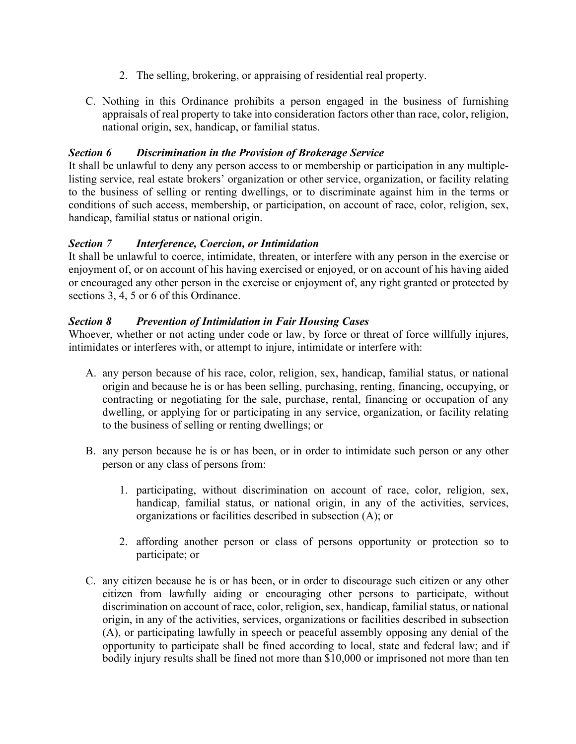- 2. The selling, brokering, or appraising of residential real property.
- C. Nothing in this Ordinance prohibits a person engaged in the business of furnishing appraisals of real property to take into consideration factors other than race, color, religion, national origin, sex, handicap, or familial status.

# *Section 6 Discrimination in the Provision of Brokerage Service*

It shall be unlawful to deny any person access to or membership or participation in any multiplelisting service, real estate brokers' organization or other service, organization, or facility relating to the business of selling or renting dwellings, or to discriminate against him in the terms or conditions of such access, membership, or participation, on account of race, color, religion, sex, handicap, familial status or national origin.

# *Section 7 Interference, Coercion, or Intimidation*

It shall be unlawful to coerce, intimidate, threaten, or interfere with any person in the exercise or enjoyment of, or on account of his having exercised or enjoyed, or on account of his having aided or encouraged any other person in the exercise or enjoyment of, any right granted or protected by sections 3, 4, 5 or 6 of this Ordinance.

# *Section 8 Prevention of Intimidation in Fair Housing Cases*

Whoever, whether or not acting under code or law, by force or threat of force willfully injures, intimidates or interferes with, or attempt to injure, intimidate or interfere with:

- A. any person because of his race, color, religion, sex, handicap, familial status, or national origin and because he is or has been selling, purchasing, renting, financing, occupying, or contracting or negotiating for the sale, purchase, rental, financing or occupation of any dwelling, or applying for or participating in any service, organization, or facility relating to the business of selling or renting dwellings; or
- B. any person because he is or has been, or in order to intimidate such person or any other person or any class of persons from:
	- 1. participating, without discrimination on account of race, color, religion, sex, handicap, familial status, or national origin, in any of the activities, services, organizations or facilities described in subsection (A); or
	- 2. affording another person or class of persons opportunity or protection so to participate; or
- C. any citizen because he is or has been, or in order to discourage such citizen or any other citizen from lawfully aiding or encouraging other persons to participate, without discrimination on account of race, color, religion, sex, handicap, familial status, or national origin, in any of the activities, services, organizations or facilities described in subsection (A), or participating lawfully in speech or peaceful assembly opposing any denial of the opportunity to participate shall be fined according to local, state and federal law; and if bodily injury results shall be fined not more than \$10,000 or imprisoned not more than ten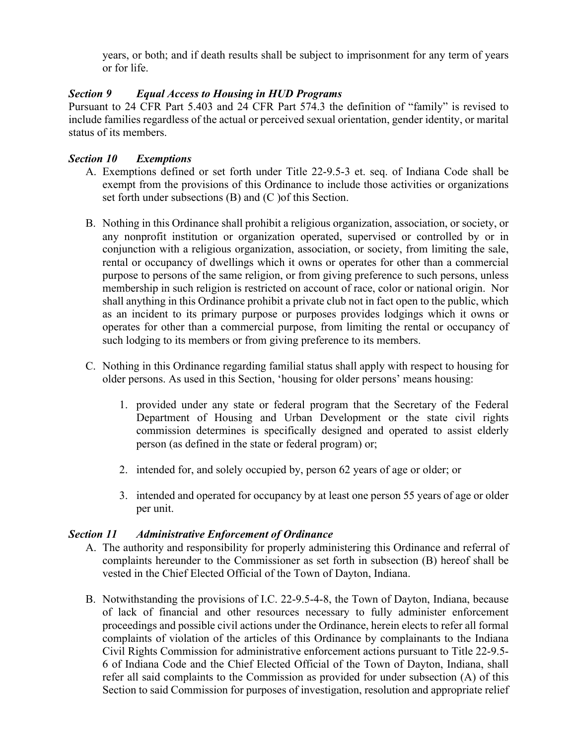years, or both; and if death results shall be subject to imprisonment for any term of years or for life.

# *Section 9 Equal Access to Housing in HUD Programs*

Pursuant to 24 CFR Part 5.403 and 24 CFR Part 574.3 the definition of "family" is revised to include families regardless of the actual or perceived sexual orientation, gender identity, or marital status of its members.

## *Section 10 Exemptions*

- A. Exemptions defined or set forth under Title 22-9.5-3 et. seq. of Indiana Code shall be exempt from the provisions of this Ordinance to include those activities or organizations set forth under subsections (B) and (C )of this Section.
- B. Nothing in this Ordinance shall prohibit a religious organization, association, or society, or any nonprofit institution or organization operated, supervised or controlled by or in conjunction with a religious organization, association, or society, from limiting the sale, rental or occupancy of dwellings which it owns or operates for other than a commercial purpose to persons of the same religion, or from giving preference to such persons, unless membership in such religion is restricted on account of race, color or national origin. Nor shall anything in this Ordinance prohibit a private club not in fact open to the public, which as an incident to its primary purpose or purposes provides lodgings which it owns or operates for other than a commercial purpose, from limiting the rental or occupancy of such lodging to its members or from giving preference to its members.
- C. Nothing in this Ordinance regarding familial status shall apply with respect to housing for older persons. As used in this Section, 'housing for older persons' means housing:
	- 1. provided under any state or federal program that the Secretary of the Federal Department of Housing and Urban Development or the state civil rights commission determines is specifically designed and operated to assist elderly person (as defined in the state or federal program) or;
	- 2. intended for, and solely occupied by, person 62 years of age or older; or
	- 3. intended and operated for occupancy by at least one person 55 years of age or older per unit.

# *Section 11 Administrative Enforcement of Ordinance*

- A. The authority and responsibility for properly administering this Ordinance and referral of complaints hereunder to the Commissioner as set forth in subsection (B) hereof shall be vested in the Chief Elected Official of the Town of Dayton, Indiana.
- B. Notwithstanding the provisions of I.C. 22-9.5-4-8, the Town of Dayton, Indiana, because of lack of financial and other resources necessary to fully administer enforcement proceedings and possible civil actions under the Ordinance, herein elects to refer all formal complaints of violation of the articles of this Ordinance by complainants to the Indiana Civil Rights Commission for administrative enforcement actions pursuant to Title 22-9.5- 6 of Indiana Code and the Chief Elected Official of the Town of Dayton, Indiana, shall refer all said complaints to the Commission as provided for under subsection (A) of this Section to said Commission for purposes of investigation, resolution and appropriate relief